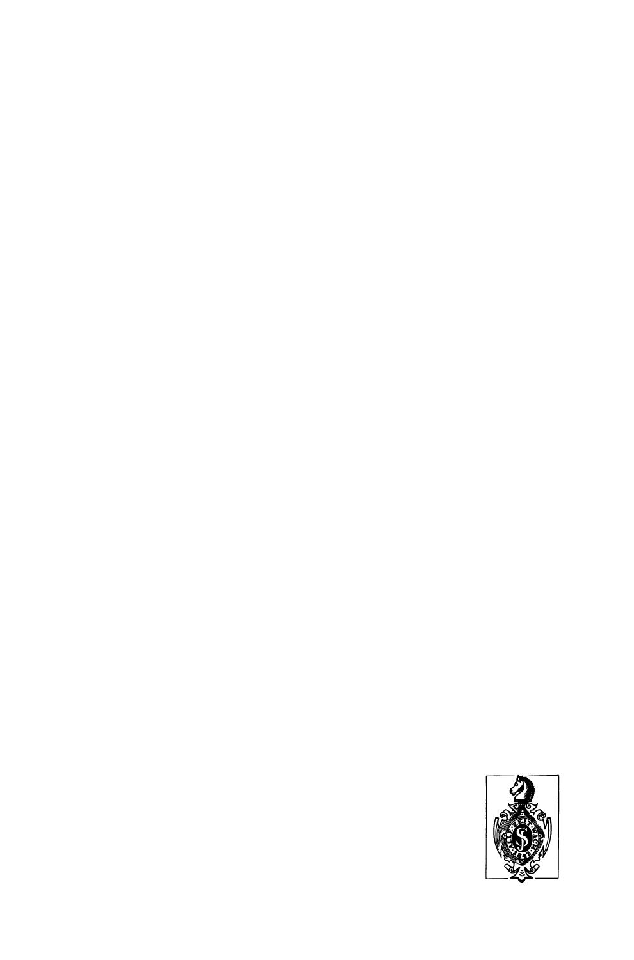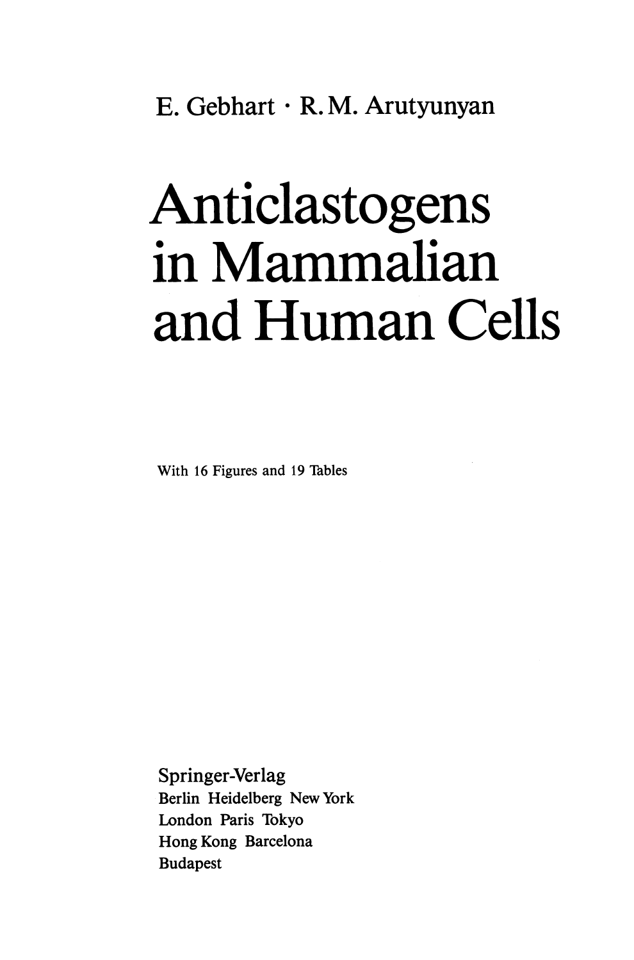**E. Gebhart . R. M. Arutyunyan** 

## **Anticlastogens in Mammalian and Human Cells**

With 16 Figures and 19 Tables

Springer-Verlag Berlin Heidelberg New York London Paris Tokyo Hong Kong Barcelona Budapest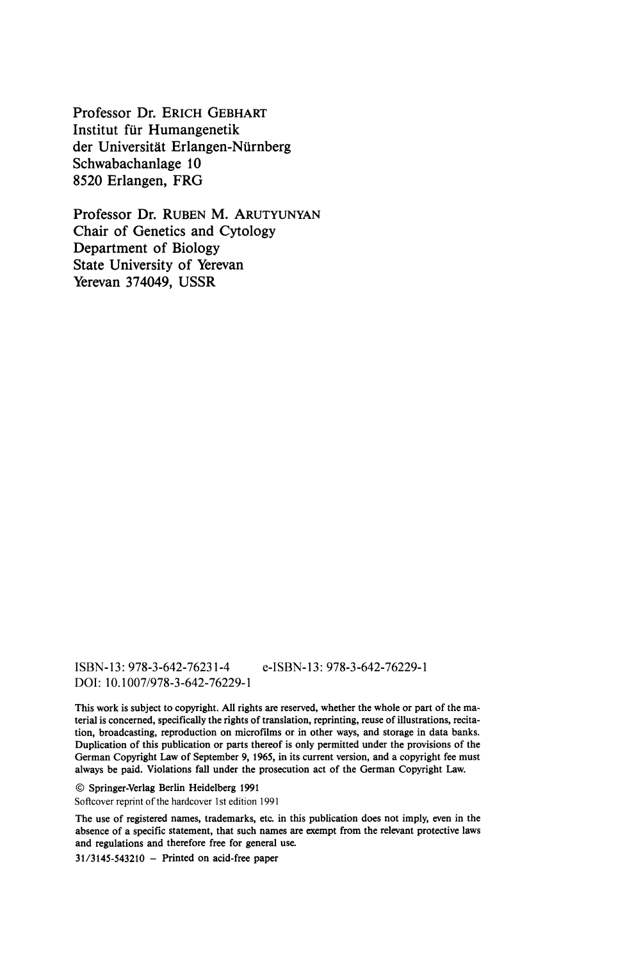**Professor Dr. ERICH GEBHART Institut für Humangenetik der Universitat Erlangen-Niirnberg Schwabachanlage 10 8520 Erlangen, FRG** 

**Professor Dr. RUBEN M. ARUTYUNYAN Chair of Genetics and Cytology Department of Biology State University of Yerevan Yerevan 374049, USSR** 

ISBN-13: 978-3-642-76231-4 DOl: 10.1007/978-3-642-76229-1 e-ISBN-13: 978-3-642-76229-1

This work is subject to copyright. **All** rights are reserved, whether the whole or part of the material is concerned, specifically the rights of translation, reprinting, reuse of illustrations, recitation, broadcasting, reproduction on microfilms or in other ways, and storage in data banks. Duplication of this publication or parts thereof is only permitted under the provisions of the German Copyright Law of September 9, 1965, in its current version, and a copyright fee must always be paid. Violations fall under the prosecution act of the German Copyright Law.

© Springer-Verlag Berlin Heidelberg 1991

Softcover reprint of the hardcover 1st edition 1991

The use of registered names, trademarks, etc. in this publication does not imply, even in the absence of a specific statement, that such names are exempt from the relevant protective laws and regulations and therefore free for general use.

*3113145-543210* - Printed on acid-free paper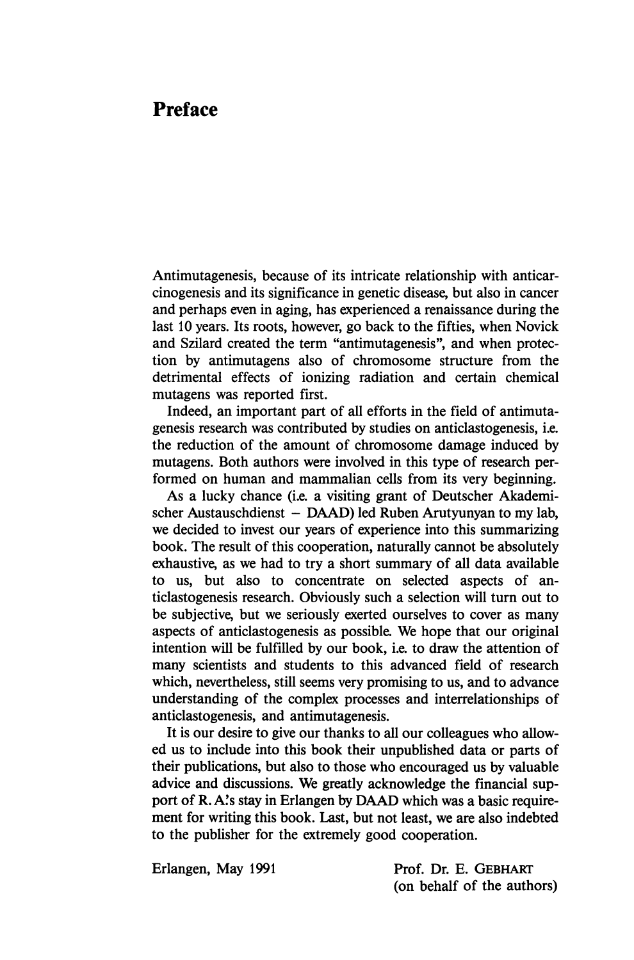## **Preface**

Antimutagenesis, because of its intricate relationship with anticarcinogenesis and its significance in genetic disease, but also in cancer and perhaps even in aging, has experienced a renaissance during the last 10 years. Its roots, however, go back to the fifties, when Novick and Szilard created the term "antimutagenesis", and when protection by antimutagens also of chromosome structure from the detrimental effects of ionizing radiation and certain chemical mutagens was reported first.

Indeed, an important part of all efforts in the field of antimutagenesis research was contributed by studies on anticlastogenesis, i.e. the reduction of the amount of chromosome damage induced by mutagens. Both authors were involved in this type of research performed on human and mammalian cells from its very beginning.

As a lucky chance (i.e. a visiting grant of Deutscher Akademischer Austauschdienst  $-$  DAAD) led Ruben Arutyunyan to my lab, we decided to invest our years of experience into this summarizing book. The result of this cooperation, naturally cannot be absolutely exhaustive, as we had to try a short summary of all data available to us, but also to concentrate on selected aspects of anticlastogenesis research. Obviously such a selection will turn out to be subjective, but we seriously exerted ourselves to cover as many aspects of anticlastogenesis as possible. We hope that our original intention will be fulfilled by our book, i.e. to draw the attention of many scientists and students to this advanced field of research which, nevertheless, still seems very promising to us, and to advance understanding of the complex processes and interrelationships of anticlastogenesis, and antimutagenesis.

It is our desire to give our thanks to all our colleagues who allowed us to include into this book their unpublished data or parts of their publications, but also to those who encouraged us by valuable advice and discussions. We greatly acknowledge the financial support of R. A:s stay in Erlangen by DAAD which was a basic requirement for writing this book. Last, but not least, we are also indebted to the publisher for the extremely good cooperation.

Erlangen, May 1991 Prof. Dr. E. GEBHART

(on behalf of the authors)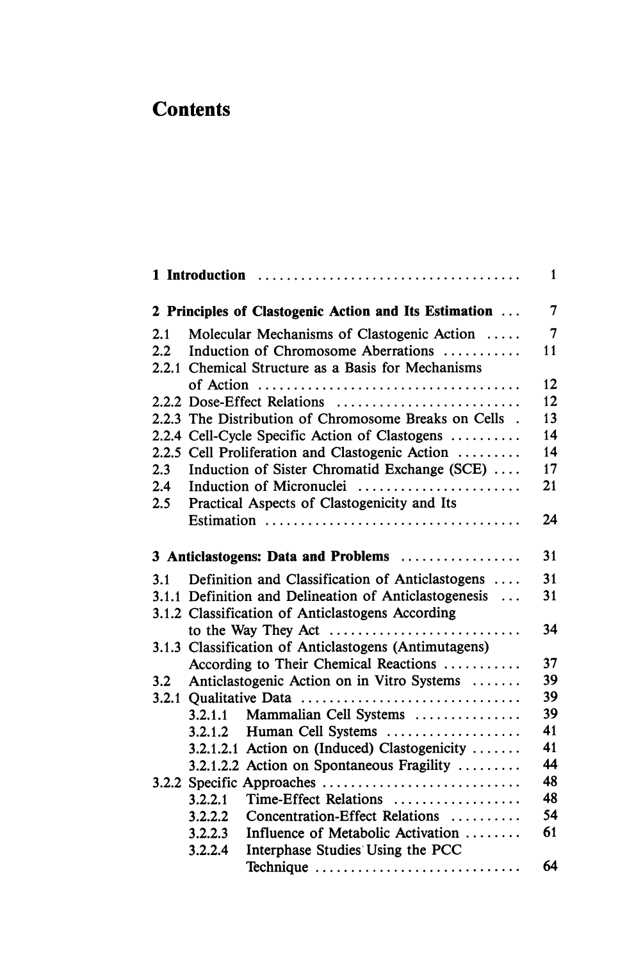## **Contents**

| $\mathbf{1}$ |                                                       |    |  |  |
|--------------|-------------------------------------------------------|----|--|--|
|              | 2 Principles of Clastogenic Action and Its Estimation | 7  |  |  |
| 2.1          | Molecular Mechanisms of Clastogenic Action            | 7  |  |  |
| $2.2\,$      | Induction of Chromosome Aberrations                   | 11 |  |  |
|              | 2.2.1 Chemical Structure as a Basis for Mechanisms    |    |  |  |
|              |                                                       | 12 |  |  |
|              | 2.2.2 Dose-Effect Relations                           | 12 |  |  |
|              | 2.2.3 The Distribution of Chromosome Breaks on Cells. | 13 |  |  |
|              | 2.2.4 Cell-Cycle Specific Action of Clastogens        | 14 |  |  |
|              | 2.2.5 Cell Proliferation and Clastogenic Action       | 14 |  |  |
| 2.3          | Induction of Sister Chromatid Exchange (SCE)          | 17 |  |  |
| 2.4          | Induction of Micronuclei                              | 21 |  |  |
| 2.5          | Practical Aspects of Clastogenicity and Its           |    |  |  |
|              |                                                       | 24 |  |  |
|              | 3 Anticlastogens: Data and Problems                   | 31 |  |  |
| 3.1          | Definition and Classification of Anticlastogens       | 31 |  |  |
|              | 3.1.1 Definition and Delineation of Anticlastogenesis | 31 |  |  |
|              | 3.1.2 Classification of Anticlastogens According      |    |  |  |
|              | to the Way They Act                                   | 34 |  |  |
|              | 3.1.3 Classification of Anticlastogens (Antimutagens) |    |  |  |
|              | According to Their Chemical Reactions                 | 37 |  |  |
| 3.2          | Anticlastogenic Action on in Vitro Systems            | 39 |  |  |
| 3.2.1        | Qualitative Data                                      | 39 |  |  |
|              | Mammalian Cell Systems<br>3.2.1.1                     | 39 |  |  |
|              | Human Cell Systems<br>3.2.1.2                         | 41 |  |  |
|              | 3.2.1.2.1 Action on (Induced) Clastogenicity          | 41 |  |  |
|              | 3.2.1.2.2 Action on Spontaneous Fragility             | 44 |  |  |
|              | 3.2.2 Specific Approaches                             | 48 |  |  |
|              | Time-Effect Relations<br>3.2.2.1                      | 48 |  |  |
|              | Concentration-Effect Relations<br>3.2.2.2             | 54 |  |  |
|              | Influence of Metabolic Activation<br>3.2.2.3          | 61 |  |  |
|              | 3.2.2.4<br>Interphase Studies Using the PCC           |    |  |  |
|              | Technique                                             | 64 |  |  |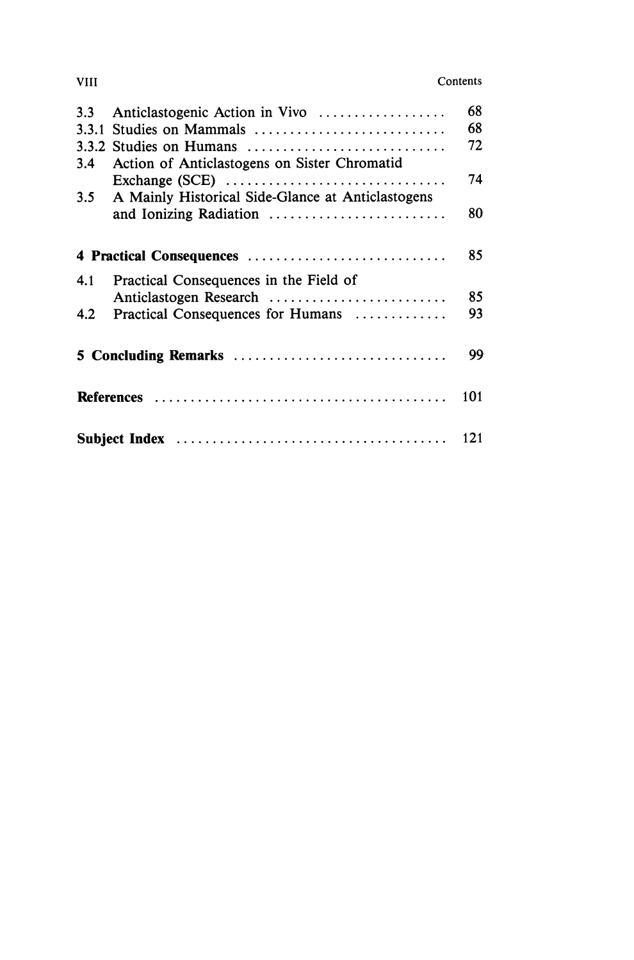| VIII | Contents |
|------|----------|
|      |          |

| 3.3                        | Anticlastogenic Action in Vivo                    | 68 |  |  |
|----------------------------|---------------------------------------------------|----|--|--|
| 3.3.1                      | Studies on Mammals                                | 68 |  |  |
|                            |                                                   | 72 |  |  |
| 3.4                        | Action of Anticlastogens on Sister Chromatid      |    |  |  |
|                            |                                                   | 74 |  |  |
| 3.5                        | A Mainly Historical Side-Glance at Anticlastogens |    |  |  |
|                            | and Ionizing Radiation                            | 80 |  |  |
| 4 Practical Consequences   |                                                   |    |  |  |
| 4.1                        | Practical Consequences in the Field of            |    |  |  |
|                            | Anticlastogen Research                            | 85 |  |  |
| 4.2                        | Practical Consequences for Humans                 | 93 |  |  |
|                            |                                                   |    |  |  |
| 5 Concluding Remarks<br>99 |                                                   |    |  |  |
|                            |                                                   |    |  |  |
| 101                        |                                                   |    |  |  |
| 121                        |                                                   |    |  |  |
|                            |                                                   |    |  |  |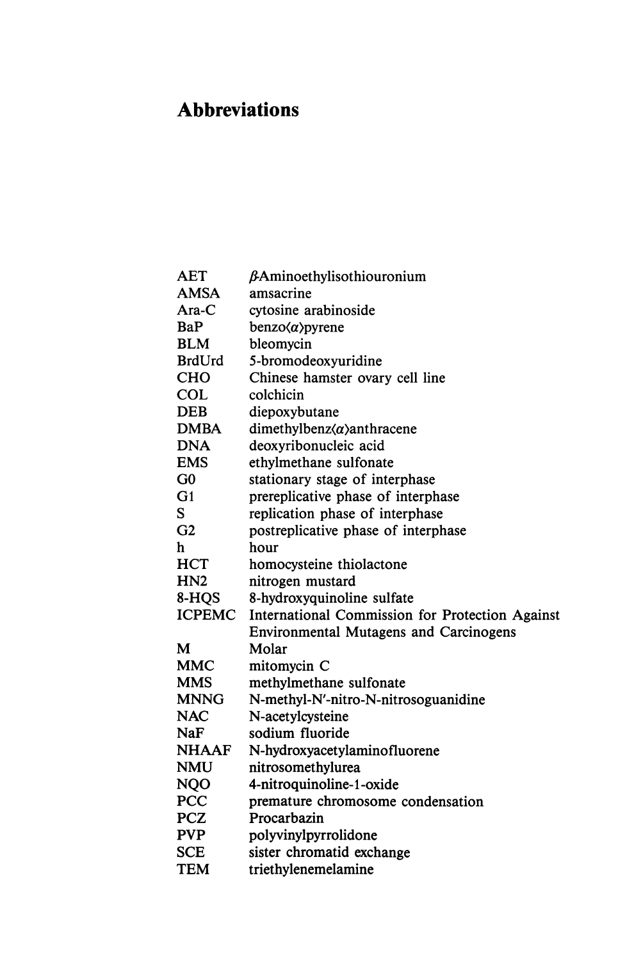## **Abbreviations**

| $\mathbf{A}\mathbf{E}\mathbf{T}$ | $\beta$ Aminoethylisothiouronium                 |
|----------------------------------|--------------------------------------------------|
| AMSA                             | amsacrine                                        |
| Ara-C                            | cytosine arabinoside                             |
| BaP                              | $benzo\langle \alpha \rangle$ pyrene             |
| <b>BLM</b>                       | bleomycin                                        |
| <b>BrdUrd</b>                    | 5-bromodeoxyuridine                              |
| <b>CHO</b>                       | Chinese hamster ovary cell line                  |
| COL                              | colchicin                                        |
| $_{\rm DEB}$                     | diepoxybutane                                    |
| <b>DMBA</b>                      | dimethylbenz $\langle \alpha \rangle$ anthracene |
| DNA                              | deoxyribonucleic acid                            |
| EMS                              | ethylmethane sulfonate                           |
| G0                               | stationary stage of interphase                   |
| G <sub>1</sub>                   | prereplicative phase of interphase               |
| S                                | replication phase of interphase                  |
| G2                               | postreplicative phase of interphase              |
| h                                | hour                                             |
| <b>HCT</b>                       | homocysteine thiolactone                         |
| HN2                              | nitrogen mustard                                 |
| 8-HQS                            | 8-hydroxyquinoline sulfate                       |
| <b>ICPEMC</b>                    | International Commission for Protection Against  |
|                                  | <b>Environmental Mutagens and Carcinogens</b>    |
| M                                | Molar                                            |
| MMC                              | mitomycin C                                      |
| MMS                              | methylmethane sulfonate                          |
| MNNG                             | N-methyl-N'-nitro-N-nitrosoguanidine             |
| <b>NAC</b>                       | N-acetylcysteine                                 |
| NaF                              | sodium fluoride                                  |
| <b>NHAAF</b>                     | N-hydroxyacetylaminofluorene                     |
| NMU                              | nitrosomethylurea                                |
| <b>NQO</b>                       | 4-nitroquinoline-1-oxide                         |
| PCC                              | premature chromosome condensation                |
| PCZ                              | Procarbazin                                      |
| <b>PVP</b>                       | polyvinylpyrrolidone                             |
| <b>SCE</b>                       | sister chromatid exchange                        |
| TEM                              | triethylenemelamine                              |